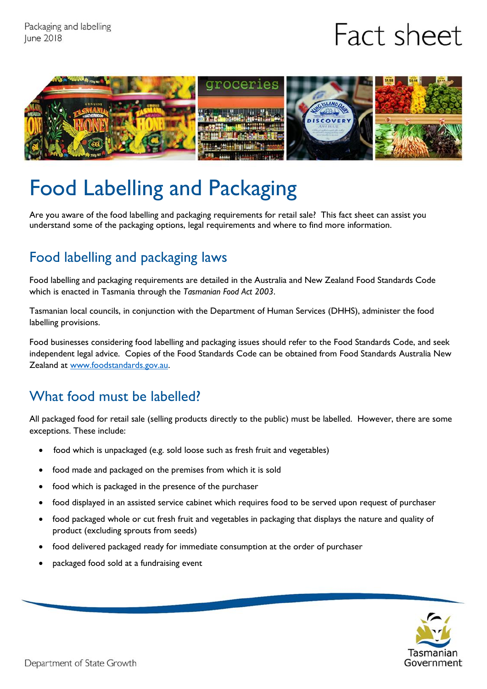# Fact sheet



## Food Labelling and Packaging

Are you aware of the food labelling and packaging requirements for retail sale? This fact sheet can assist you understand some of the packaging options, legal requirements and where to find more information.

### Food labelling and packaging laws

Food labelling and packaging requirements are detailed in the Australia and New Zealand Food Standards Code which is enacted in Tasmania through the *Tasmanian Food Act 2003*.

Tasmanian local councils, in conjunction with the Department of Human Services (DHHS), administer the food labelling provisions.

Food businesses considering food labelling and packaging issues should refer to the Food Standards Code, and seek independent legal advice. Copies of the Food Standards Code can be obtained from Food Standards Australia New Zealand at [www.foodstandards.gov.au.](http://www.foodstandards.gov.au/)

#### What food must be labelled?

All packaged food for retail sale (selling products directly to the public) must be labelled. However, there are some exceptions. These include:

- food which is unpackaged (e.g. sold loose such as fresh fruit and vegetables)
- food made and packaged on the premises from which it is sold
- food which is packaged in the presence of the purchaser
- food displayed in an assisted service cabinet which requires food to be served upon request of purchaser
- food packaged whole or cut fresh fruit and vegetables in packaging that displays the nature and quality of product (excluding sprouts from seeds)
- food delivered packaged ready for immediate consumption at the order of purchaser
- packaged food sold at a fundraising event

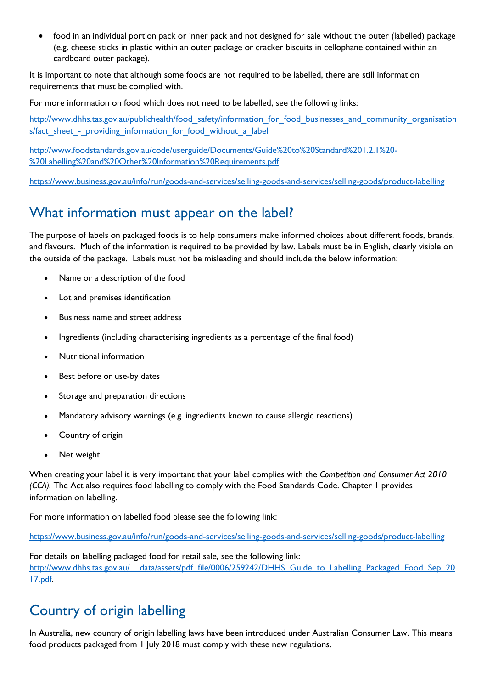food in an individual portion pack or inner pack and not designed for sale without the outer (labelled) package (e.g. cheese sticks in plastic within an outer package or cracker biscuits in cellophane contained within an cardboard outer package).

It is important to note that although some foods are not required to be labelled, there are still information requirements that must be complied with.

For more information on food which does not need to be labelled, see the following links:

[http://www.dhhs.tas.gov.au/publichealth/food\\_safety/information\\_for\\_food\\_businesses\\_and\\_community\\_organisation](http://www.dhhs.tas.gov.au/publichealth/food_safety/information_for_food_businesses_and_community_organisations/fact_sheet_-_providing_information_for_food_without_a_label) s/fact sheet - providing information for food without a label

[http://www.foodstandards.gov.au/code/userguide/Documents/Guide%20to%20Standard%201.2.1%20-](http://www.foodstandards.gov.au/code/userguide/Documents/Guide%20to%20Standard%201.2.1%20-%20Labelling%20and%20Other%20Information%20Requirements.pdf) [%20Labelling%20and%20Other%20Information%20Requirements.pdf](http://www.foodstandards.gov.au/code/userguide/Documents/Guide%20to%20Standard%201.2.1%20-%20Labelling%20and%20Other%20Information%20Requirements.pdf)

<https://www.business.gov.au/info/run/goods-and-services/selling-goods-and-services/selling-goods/product-labelling>

#### What information must appear on the label?

The purpose of labels on packaged foods is to help consumers make informed choices about different foods, brands, and flavours. Much of the information is required to be provided by law. Labels must be in English, clearly visible on the outside of the package. Labels must not be misleading and should include the below information:

- Name or a description of the food
- Lot and premises identification
- Business name and street address
- Ingredients (including characterising ingredients as a percentage of the final food)
- Nutritional information
- Best before or use-by dates
- Storage and preparation directions
- Mandatory advisory warnings (e.g. ingredients known to cause allergic reactions)
- Country of origin
- Net weight

When creating your label it is very important that your label complies with the *Competition and Consumer Act 2010 (CCA).* The Act also requires food labelling to comply with the Food Standards Code. Chapter 1 provides information on labelling.

For more information on labelled food please see the following link:

<https://www.business.gov.au/info/run/goods-and-services/selling-goods-and-services/selling-goods/product-labelling>

For details on labelling packaged food for retail sale, see the following link: http://www.dhhs.tas.gov.au/ data/assets/pdf\_file/0006/259242/DHHS\_Guide\_to\_Labelling\_Packaged\_Food\_Sep\_20 [17.pdf.](http://www.dhhs.tas.gov.au/__data/assets/pdf_file/0006/259242/DHHS_Guide_to_Labelling_Packaged_Food_Sep_2017.pdf)

#### Country of origin labelling

In Australia, new country of origin labelling laws have been introduced under Australian Consumer Law. This means food products packaged from 1 July 2018 must comply with these new regulations.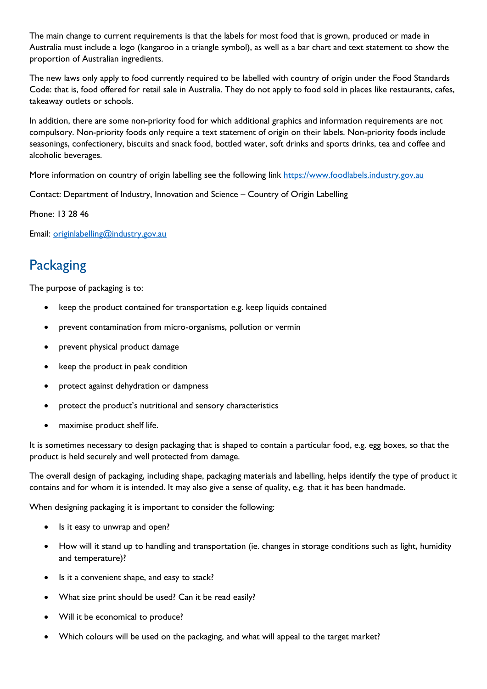The main change to current requirements is that the labels for most food that is grown, produced or made in Australia must include a logo (kangaroo in a triangle symbol), as well as a bar chart and text statement to show the proportion of Australian ingredients.

The new laws only apply to food currently required to be labelled with country of origin under the Food Standards Code: that is, food offered for retail sale in Australia. They do not apply to food sold in places like restaurants, cafes, takeaway outlets or schools.

In addition, there are some non-priority food for which additional graphics and information requirements are not compulsory. Non-priority foods only require a text statement of origin on their labels. Non-priority foods include seasonings, confectionery, biscuits and snack food, bottled water, soft drinks and sports drinks, tea and coffee and alcoholic beverages.

More information on country of origin labelling see the following link [https://www.foodlabels.industry.gov.au](http://www.foodlabels.industry.gov.au/)

Contact: Department of Industry, Innovation and Science – Country of Origin Labelling

Phone: 13 28 46

Email: [originlabelling@industry.gov.au](mailto:originlabelling@industry.gov.au)

#### **Packaging**

The purpose of packaging is to:

- keep the product contained for transportation e.g. keep liquids contained
- prevent contamination from micro-organisms, pollution or vermin
- prevent physical product damage
- keep the product in peak condition
- protect against dehydration or dampness
- protect the product's nutritional and sensory characteristics
- maximise product shelf life.

It is sometimes necessary to design packaging that is shaped to contain a particular food, e.g. egg boxes, so that the product is held securely and well protected from damage.

The overall design of packaging, including shape, packaging materials and labelling, helps identify the type of product it contains and for whom it is intended. It may also give a sense of quality, e.g. that it has been handmade.

When designing packaging it is important to consider the following:

- Is it easy to unwrap and open?
- How will it stand up to handling and transportation (ie. changes in storage conditions such as light, humidity and temperature)?
- Is it a convenient shape, and easy to stack?
- What size print should be used? Can it be read easily?
- Will it be economical to produce?
- Which colours will be used on the packaging, and what will appeal to the target market?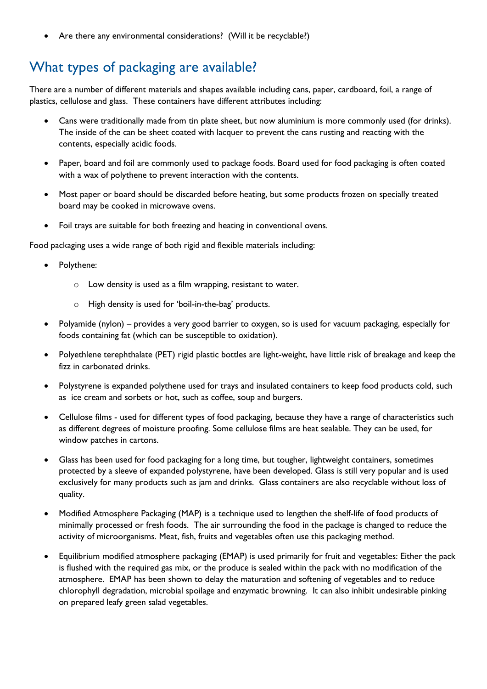• Are there any environmental considerations? (Will it be recyclable?)

## What types of packaging are available?

There are a number of different materials and shapes available including cans, paper, cardboard, foil, a range of plastics, cellulose and glass. These containers have different attributes including:

- Cans were traditionally made from tin plate sheet, but now aluminium is more commonly used (for drinks). The inside of the can be sheet coated with lacquer to prevent the cans rusting and reacting with the contents, especially acidic foods.
- Paper, board and foil are commonly used to package foods. Board used for food packaging is often coated with a wax of polythene to prevent interaction with the contents.
- Most paper or board should be discarded before heating, but some products frozen on specially treated board may be cooked in microwave ovens.
- Foil trays are suitable for both freezing and heating in conventional ovens.

Food packaging uses a wide range of both rigid and flexible materials including:

- Polythene:
	- o Low density is used as a film wrapping, resistant to water.
	- o High density is used for 'boil-in-the-bag' products.
- Polyamide (nylon) provides a very good barrier to oxygen, so is used for vacuum packaging, especially for foods containing fat (which can be susceptible to oxidation).
- Polyethlene terephthalate (PET) rigid plastic bottles are light-weight, have little risk of breakage and keep the fizz in carbonated drinks.
- Polystyrene is expanded polythene used for trays and insulated containers to keep food products cold, such as ice cream and sorbets or hot, such as coffee, soup and burgers.
- Cellulose films used for different types of food packaging, because they have a range of characteristics such as different degrees of moisture proofing. Some cellulose films are heat sealable. They can be used, for window patches in cartons.
- Glass has been used for food packaging for a long time, but tougher, lightweight containers, sometimes protected by a sleeve of expanded polystyrene, have been developed. Glass is still very popular and is used exclusively for many products such as jam and drinks. Glass containers are also recyclable without loss of quality.
- Modified Atmosphere Packaging (MAP) is a technique used to lengthen the shelf-life of food products of minimally processed or fresh foods. The air surrounding the food in the package is changed to reduce the activity of microorganisms. Meat, fish, fruits and vegetables often use this packaging method.
- Equilibrium modified atmosphere packaging (EMAP) is used primarily for fruit and vegetables: Either the pack is flushed with the required gas mix, or the produce is sealed within the pack with no modification of the atmosphere. EMAP has been shown to delay the maturation and softening of vegetables and to reduce chlorophyll degradation, microbial spoilage and enzymatic browning. It can also inhibit undesirable pinking on prepared leafy green salad vegetables.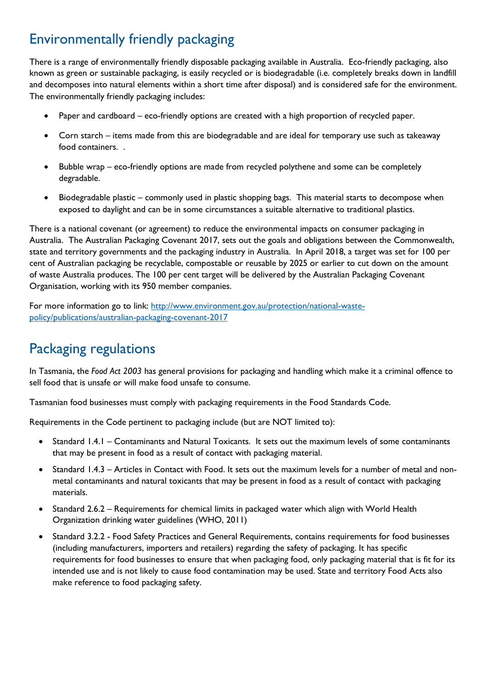#### Environmentally friendly packaging

There is a range of environmentally friendly disposable packaging available in Australia. Eco-friendly packaging, also known as green or sustainable packaging, is easily recycled or is biodegradable (i.e. completely breaks down in landfill and decomposes into natural elements within a short time after disposal) and is considered safe for the environment. The environmentally friendly packaging includes:

- Paper and cardboard eco-friendly options are created with a high proportion of recycled paper.
- Corn starch items made from this are biodegradable and are ideal for temporary use such as takeaway food containers. .
- Bubble wrap eco-friendly options are made from recycled polythene and some can be completely degradable.
- Biodegradable plastic commonly used in plastic shopping bags. This material starts to decompose when exposed to daylight and can be in some circumstances a suitable alternative to traditional plastics.

There is a national covenant (or agreement) to reduce the environmental impacts on consumer packaging in Australia. The Australian Packaging Covenant 2017, sets out the goals and obligations between the Commonwealth, state and territory governments and the packaging industry in Australia. In April 2018, a target was set for 100 per cent of Australian packaging be recyclable, compostable or reusable by 2025 or earlier to cut down on the amount of waste Australia produces. The 100 per cent target will be delivered by the Australian Packaging Covenant Organisation, working with its 950 member companies.

For more information go to link: [http://www.environment.gov.au/protection/national-waste](http://www.environment.gov.au/protection/national-waste-policy/publications/australian-packaging-covenant-2017)[policy/publications/australian-packaging-covenant-2017](http://www.environment.gov.au/protection/national-waste-policy/publications/australian-packaging-covenant-2017)

### Packaging regulations

In Tasmania, the *Food Act 2003* has general provisions for packaging and handling which make it a criminal offence to sell food that is unsafe or will make food unsafe to consume.

Tasmanian food businesses must comply with packaging requirements in the Food Standards Code.

Requirements in the Code pertinent to packaging include (but are NOT limited to):

- Standard 1.4.1 Contaminants and Natural Toxicants. It sets out the maximum levels of some contaminants that may be present in food as a result of contact with packaging material.
- Standard 1.4.3 Articles in Contact with Food. It sets out the maximum levels for a number of metal and nonmetal contaminants and natural toxicants that may be present in food as a result of contact with packaging materials.
- Standard 2.6.2 Requirements for chemical limits in packaged water which align with World Health Organization drinking water guidelines (WHO, 2011)
- Standard 3.2.2 Food Safety Practices and General Requirements, contains requirements for food businesses (including manufacturers, importers and retailers) regarding the safety of packaging. It has specific requirements for food businesses to ensure that when packaging food, only packaging material that is fit for its intended use and is not likely to cause food contamination may be used. State and territory Food Acts also make reference to food packaging safety.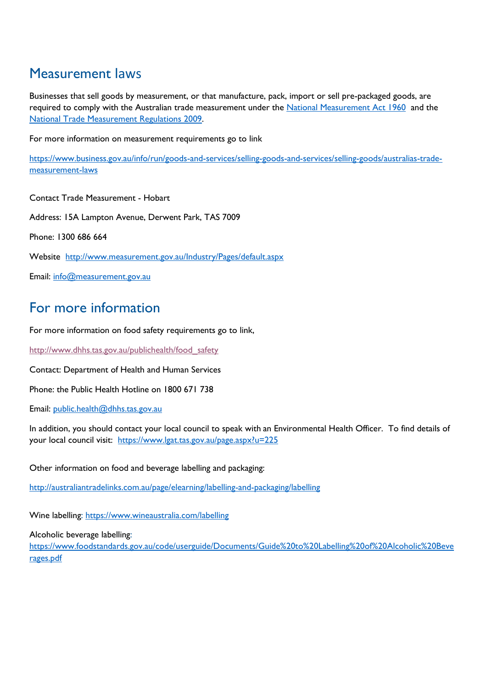#### Measurement laws

Businesses that sell goods by measurement, or that manufacture, pack, import or sell pre-packaged goods, are required to comply with the Australian trade measurement under the [National Measurement Act 1960](http://www.comlaw.gov.au/Series/C1960A00064) and the [National Trade Measurement Regulations 2009.](http://www.comlaw.gov.au/Series/F2009L03479)

For more information on measurement requirements go to link

[https://www.business.gov.au/info/run/goods-and-services/selling-goods-and-services/selling-goods/australias-trade](https://www.business.gov.au/info/run/goods-and-services/selling-goods-and-services/selling-goods/australias-trade-measurement-laws)[measurement-laws](https://www.business.gov.au/info/run/goods-and-services/selling-goods-and-services/selling-goods/australias-trade-measurement-laws)

Contact Trade Measurement - Hobart

Address: 15A Lampton Avenue, Derwent Park, TAS 7009

Phone: 1300 686 664

Website http://www.measurement.gov.au/Industry/Pages/default.aspx

Email: [info@measurement.gov.au](mailto:info@measurement.gov.au)

#### For more information

For more information on food safety requirements go to link,

[http://www.dhhs.tas.gov.au/publichealth/food\\_safety](http://www.dhhs.tas.gov.au/publichealth/food_safety)

Contact: Department of Health and Human Services

Phone: the Public Health Hotline on 1800 671 738

Email: [public.health@dhhs.tas.gov.au](mailto:public.health@dhhs.tas.gov.au)

In addition, you should contact your local council to speak with an Environmental Health Officer. To find details of your local council visit: <https://www.lgat.tas.gov.au/page.aspx?u=225>

Other information on food and beverage labelling and packaging:

<http://australiantradelinks.com.au/page/elearning/labelling-and-packaging/labelling>

Wine labelling:<https://www.wineaustralia.com/labelling>

Alcoholic beverage labelling:

[https://www.foodstandards.gov.au/code/userguide/Documents/Guide%20to%20Labelling%20of%20Alcoholic%20Beve](https://www.foodstandards.gov.au/code/userguide/Documents/Guide%20to%20Labelling%20of%20Alcoholic%20Beverages.pdf) [rages.pdf](https://www.foodstandards.gov.au/code/userguide/Documents/Guide%20to%20Labelling%20of%20Alcoholic%20Beverages.pdf)